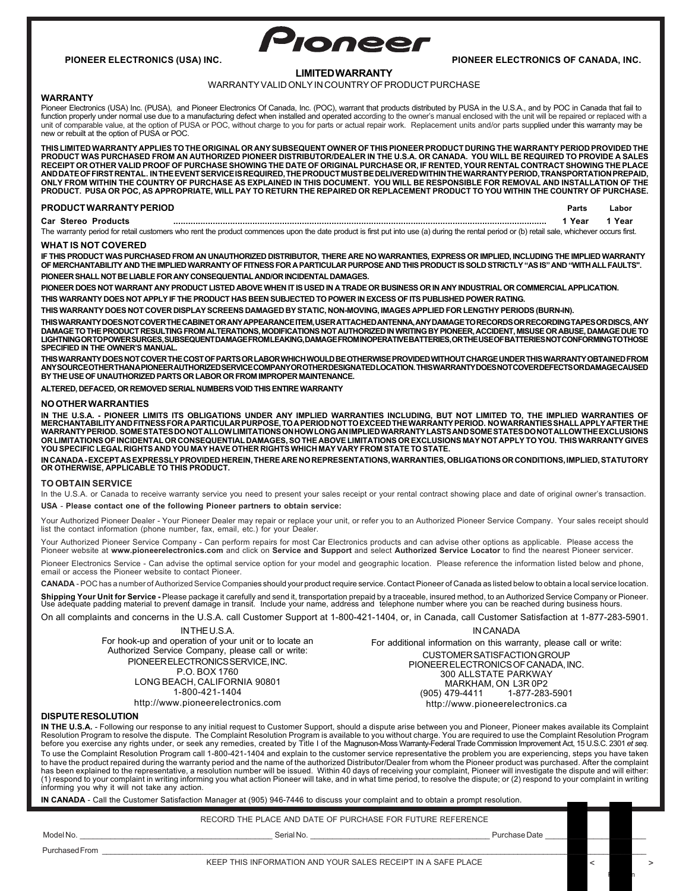

# **PIONEER ELECTRONICS (USA) INC. PIONEER ELECTRONICS OF CANADA, INC.**

# **LIMITED WARRANTY**

# WARRANTY VALID ONLY IN COUNTRY OF PRODUCT PURCHASE

# **WARRANTY**

Pioneer Electronics (USA) Inc. (PUSA), and Pioneer Electronics Of Canada, Inc. (POC), warrant that products distributed by PUSA in the U.S.A., and by POC in Canada that fail to<br>function properly under normal use due to a m unit of comparable value, at the option of PUSA or POC, without charge to you for parts or actual repair work. Replacement units and/or parts supplied under this warranty may be new or rebuilt at the option of PUSA or POC.

**THIS LIMITED WARRANTY APPLIES TO THE ORIGINAL OR ANY SUBSEQUENT OWNER OF THIS PIONEER PRODUCT DURING THE WARRANTY PERIOD PROVIDED THE** PRODUCT WAS PURCHASED FROM AN AUTHORIZED PIONEER DISTRIBUTOR/DEALER IN THE U.S.A. OR CANADA. YOU WILL BE REQUIRED TO PROVIDE A SALES<br>RECEIPT OR OTHER VALID PROOF OF PURCHASE SHOWING THE DATE OF ORIGINAL PURCHASE OR, IF REN ANDDATEOFFIRSTRENTAL. IN THEEVENTSERVICE IS REQUIRED, THE PRODUCT MUSTBE DELIVEREDWITHIN THE WARRANTY PERIOD, TRANSPORTATION PREPAID,<br>ONLY FROM WITHIN THE COUNTRY OF PURCHASE AS EXPLAINED IN THIS DOCUMENT. YOU WILL BE RESP **PRODUCT. PUSA OR POC, AS APPROPRIATE, WILL PAY TO RETURN THE REPAIRED OR REPLACEMENT PRODUCT TO YOU WITHIN THE COUNTRY OF PURCHASE.**

## **PRODUCT WARRANTY PERIOD**

**Labor** 

**Car Stereo Products .......................................................................................................................................................** The warranty period for retail customers who rent the product commences upon the date product is first put into use (a) during the rental period or (b) retail sale, whichever occurs first.  **1 Year 1 Year**

## **WHAT IS NOT COVERED**

**IF THIS PRODUCT WAS PURCHASED FROM AN UNAUTHORIZED DISTRIBUTOR, THERE ARE NO WARRANTIES, EXPRESS OR IMPLIED, INCLUDING THE IMPLIED WARRANTY OF MERCHANTABILITY AND THE IMPLIED WARRANTY OF FITNESS FOR A PARTICULAR PURPOSE AND THIS PRODUCT IS SOLD STRICTLY "AS IS" AND "WITH ALL FAULTS". PIONEER SHALL NOT BE LIABLE FOR ANY CONSEQUENTIAL AND/OR INCIDENTAL DAMAGES.**

**PIONEER DOES NOT WARRANT ANY PRODUCT LISTED ABOVE WHEN IT IS USED IN A TRADE OR BUSINESS OR IN ANY INDUSTRIAL OR COMMERCIAL APPLICATION.**

**THIS WARRANTY DOES NOT APPLY IF THE PRODUCT HAS BEEN SUBJECTED TO POWER IN EXCESS OF ITS PUBLISHED POWER RATING.**

**THIS WARRANTY DOES NOT COVER DISPLAY SCREENS DAMAGED BY STATIC, NON-MOVING, IMAGES APPLIED FOR LENGTHY PERIODS (BURN-IN).**

THISWARRANTY DOES NOT COVER THE CABINET OR ANY APPEARANCE ITEM, USER ATTACHED ANTENNA, ANY DAMAGE TO RECORDS OR RECORDING TAPES OR DISCS, ANY<br>DAMAGE TO THE PRODUCT RESULTING FROM ALTERATIONS, MODIFICATIONS NOT AUTHORIZED I **SPECIFIED IN THE OWNER'S MANUAL.**

THIS WARRANTY DOES NOT COVER THE COST OF PARTS OR LABOR WHICH WOULD BE OTHERWISE PROVIDED WITHOUT CHARGE UNDER THIS WARRANTY OBTAINED FROM<br>ANY SOURCE OTHER THAN A PIONEERAUTHORIZED SERVICE COMPANY OR OTHER DESIGNATED LOCAT

**ALTERED, DEFACED, OR REMOVED SERIAL NUMBERS VOID THIS ENTIRE WARRANTY**

### **NO OTHER WARRANTIES**

IN THE U.S.A. - PIONEER LIMITS ITS OBLIGATIONS UNDER ANY IMPLIED WARRANTIES INCLUDING, BUT NOT LIMITED TO, THE IMPLIED WARRANTIES OF<br>MERCHANTABILITYANDFITNESSFORAPARTICULARPURPOSE,TOAPERIODNOTTOEXCEEDTHEWARRANTYPERIOD. NOW **OR LIMITATIONS OF INCIDENTAL OR CONSEQUENTIAL DAMAGES, SO THE ABOVE LIMITATIONS OR EXCLUSIONS MAY NOT APPLY TO YOU. THIS WARRANTY GIVES YOU SPECIFIC LEGAL RIGHTS AND YOU MAY HAVE OTHER RIGHTS WHICH MAY VARY FROM STATE TO STATE.**

**IN CANADA - EXCEPT AS EXPRESSLY PROVIDED HEREIN, THERE ARE NO REPRESENTATIONS, WARRANTIES, OBLIGATIONS OR CONDITIONS, IMPLIED, STATUTORY OR OTHERWISE, APPLICABLE TO THIS PRODUCT.**

# **TO OBTAIN SERVICE**

In the U.S.A. or Canada to receive warranty service you need to present your sales receipt or your rental contract showing place and date of original owner's transaction. **USA** - **Please contact one of the following Pioneer partners to obtain service:**

Your Authorized Pioneer Dealer - Your Pioneer Dealer may repair or replace your unit, or refer you to an Authorized Pioneer Service Company. Your sales receipt should list the contact information (phone number, fax, email, etc.) for your Dealer.

Your Authorized Pioneer Service Company - Can perform repairs for most Car Electronics products and can advise other options as applicable. Please access the<br>Pioneer website at **www.pioneerelectronics.com** and click on **Se** 

Pioneer Electronics Service - Can advise the optimal service option for your model and geographic location. Please reference the information listed below and phone, email or access the Pioneer website to contact Pioneer.

**CANADA** - POC has a number of Authorized Service Companies should your product require service. Contact Pioneer of Canada as listed below to obtain a local service location.

**Shipping Your Unit for Service -** Please package it carefully and send it, transportation prepaid by a traceable, insured method, to an Authorized Service Company or Pioneer.<br>Use adequate padding material to prevent damag

On all complaints and concerns in the U.S.A. call Customer Support at 1-800-421-1404, or, in Canada, call Customer Satisfaction at 1-877-283-5901.

IN THE U.S.A. For hook-up and operation of your unit or to locate an Authorized Service Company, please call or write: PIONEER ELECTRONICS SERVICE, INC. P.O. BOX 1760 LONG BEACH, CALIFORNIA 90801 1-800-421-1404 http://www.pioneerelectronics.com

For additional information on this warranty, please call or write: CUSTOMER SATISFACTION GROUP PIONEER ELECTRONICS OF CANADA, INC. 300 ALLSTATE PARKWAY MARKHAM, ON L3R 0P2<br>1-877-283 479-4411 1-877 1-877-283-5901 http://www.pioneerelectronics.ca

IN CANADA

## **DISPUTE RESOLUTION**

**IN THE U.S.A.** - Following our response to any initial request to Customer Support, should a dispute arise between you and Pioneer, Pioneer makes available its Complaint<br>Resolution Program to resolve the dispute. The Comp To use the Complaint Resolution Program call 1-800-421-1404 and explain to the customer service representative the problem you are experiencing, steps you have taken to have the product repaired during the warranty period and the name of the authorized Distributor/Dealer from whom the Pioneer product was purchased. After the complaint has been explained to the representative, a resolution number will be issued. Within 40 days of receiving your complaint, Pioneer will investigate the dispute and will either:<br>(1) respond to your complaint in writing info

**IN CANADA** - Call the Customer Satisfaction Manager at (905) 946-7446 to discuss your complaint and to obtain a prompt resolution.

RECORD THE PLACE AND DATE OF PURCHASE FOR FUTURE REFERENCE

Model No. \_\_\_\_\_\_\_\_\_\_\_\_\_\_\_\_\_\_\_\_\_\_\_\_\_\_\_\_\_\_\_\_\_\_\_\_\_\_\_\_\_\_\_\_ Serial No. \_\_\_\_\_\_\_\_\_\_\_\_\_\_\_\_\_\_\_\_\_\_\_\_\_\_\_\_\_\_\_\_\_\_\_\_\_\_\_\_\_ Purchase Date \_\_\_\_\_\_\_\_\_\_\_\_\_\_\_\_\_\_\_\_\_\_\_

Purchased From \_\_\_\_\_\_\_\_\_\_\_\_\_\_\_\_\_\_\_\_\_\_\_\_\_\_\_\_\_\_\_\_\_\_\_\_\_\_\_\_\_\_\_\_\_\_\_\_\_\_\_\_\_\_\_\_\_\_\_\_\_\_\_\_\_\_\_\_\_\_\_\_\_\_\_\_\_\_\_\_\_\_\_\_\_\_\_\_\_\_\_\_\_\_\_\_\_\_\_\_\_\_\_\_\_\_\_\_\_\_\_\_\_\_\_\_\_\_\_\_\_\_\_\_\_\_\_

 $\leftarrow$   $\qquad \qquad$ 

F<sub>il</sub>